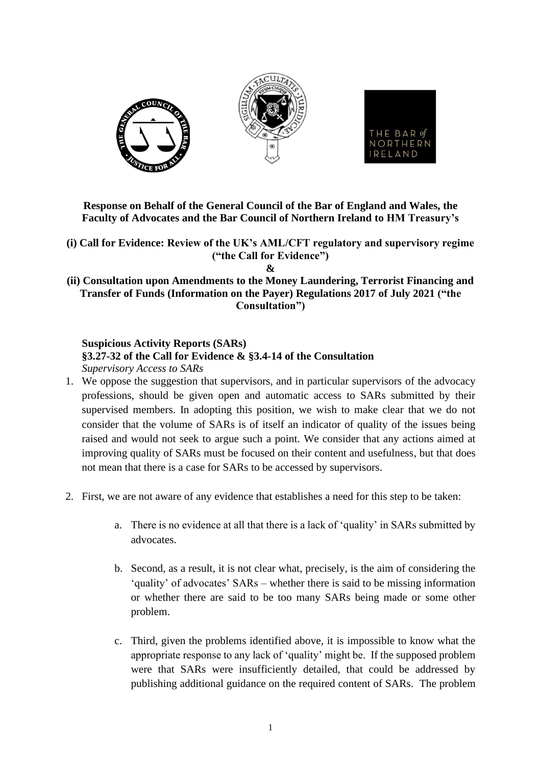

**Response on Behalf of the General Council of the Bar of England and Wales, the Faculty of Advocates and the Bar Council of Northern Ireland to HM Treasury's**

**(i) Call for Evidence: Review of the UK's AML/CFT regulatory and supervisory regime ("the Call for Evidence")**

**&**

**(ii) Consultation upon Amendments to the Money Laundering, Terrorist Financing and Transfer of Funds (Information on the Payer) Regulations 2017 of July 2021 ("the Consultation")**

**Suspicious Activity Reports (SARs) §3.27-32 of the Call for Evidence & §3.4-14 of the Consultation** *Supervisory Access to SARs*

- 1. We oppose the suggestion that supervisors, and in particular supervisors of the advocacy professions, should be given open and automatic access to SARs submitted by their supervised members. In adopting this position, we wish to make clear that we do not consider that the volume of SARs is of itself an indicator of quality of the issues being raised and would not seek to argue such a point. We consider that any actions aimed at improving quality of SARs must be focused on their content and usefulness, but that does not mean that there is a case for SARs to be accessed by supervisors.
- 2. First, we are not aware of any evidence that establishes a need for this step to be taken:
	- a. There is no evidence at all that there is a lack of 'quality' in SARs submitted by advocates.
	- b. Second, as a result, it is not clear what, precisely, is the aim of considering the 'quality' of advocates' SARs – whether there is said to be missing information or whether there are said to be too many SARs being made or some other problem.
	- c. Third, given the problems identified above, it is impossible to know what the appropriate response to any lack of 'quality' might be. If the supposed problem were that SARs were insufficiently detailed, that could be addressed by publishing additional guidance on the required content of SARs. The problem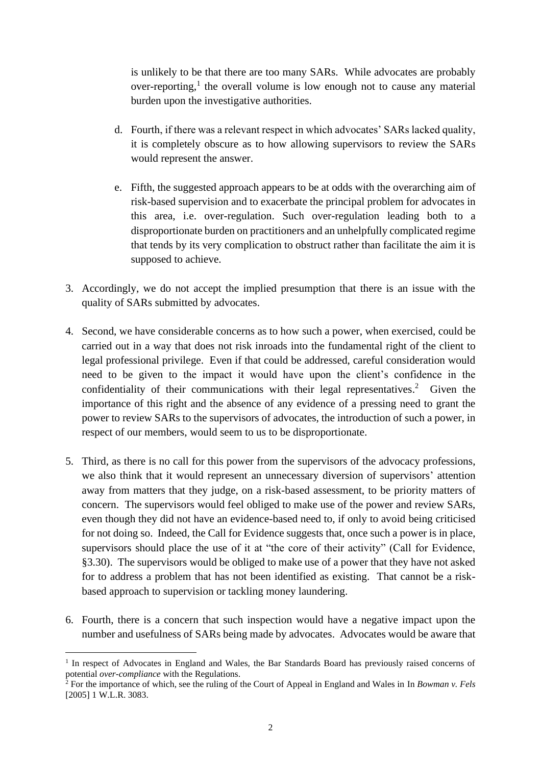is unlikely to be that there are too many SARs. While advocates are probably over-reporting,<sup>1</sup> the overall volume is low enough not to cause any material burden upon the investigative authorities.

- d. Fourth, if there was a relevant respect in which advocates' SARs lacked quality, it is completely obscure as to how allowing supervisors to review the SARs would represent the answer.
- e. Fifth, the suggested approach appears to be at odds with the overarching aim of risk-based supervision and to exacerbate the principal problem for advocates in this area, i.e. over-regulation. Such over-regulation leading both to a disproportionate burden on practitioners and an unhelpfully complicated regime that tends by its very complication to obstruct rather than facilitate the aim it is supposed to achieve.
- 3. Accordingly, we do not accept the implied presumption that there is an issue with the quality of SARs submitted by advocates.
- 4. Second, we have considerable concerns as to how such a power, when exercised, could be carried out in a way that does not risk inroads into the fundamental right of the client to legal professional privilege. Even if that could be addressed, careful consideration would need to be given to the impact it would have upon the client's confidence in the confidentiality of their communications with their legal representatives.<sup>2</sup> Given the importance of this right and the absence of any evidence of a pressing need to grant the power to review SARs to the supervisors of advocates, the introduction of such a power, in respect of our members, would seem to us to be disproportionate.
- 5. Third, as there is no call for this power from the supervisors of the advocacy professions, we also think that it would represent an unnecessary diversion of supervisors' attention away from matters that they judge, on a risk-based assessment, to be priority matters of concern. The supervisors would feel obliged to make use of the power and review SARs, even though they did not have an evidence-based need to, if only to avoid being criticised for not doing so. Indeed, the Call for Evidence suggests that, once such a power is in place, supervisors should place the use of it at "the core of their activity" (Call for Evidence, §3.30). The supervisors would be obliged to make use of a power that they have not asked for to address a problem that has not been identified as existing. That cannot be a riskbased approach to supervision or tackling money laundering.
- 6. Fourth, there is a concern that such inspection would have a negative impact upon the number and usefulness of SARs being made by advocates. Advocates would be aware that

<sup>&</sup>lt;sup>1</sup> In respect of Advocates in England and Wales, the Bar Standards Board has previously raised concerns of potential *over-compliance* with the Regulations.

<sup>2</sup> For the importance of which, see the ruling of the Court of Appeal in England and Wales in In *Bowman v. Fels* [2005] 1 W.L.R. 3083.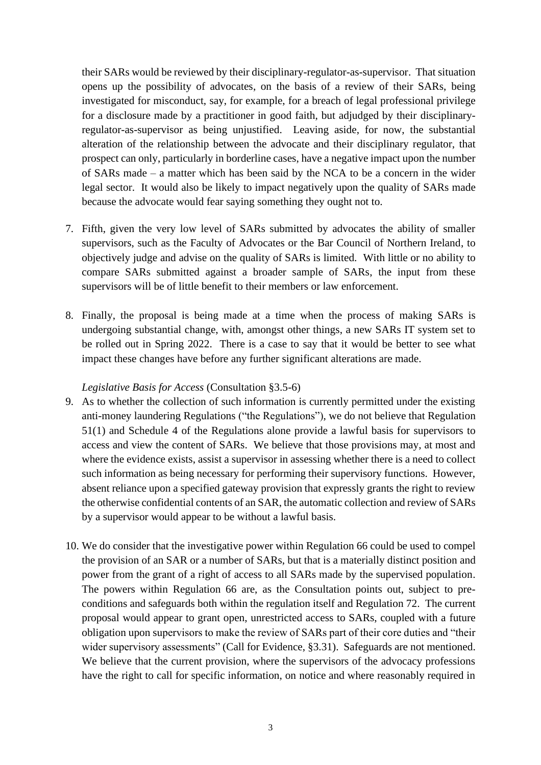their SARs would be reviewed by their disciplinary-regulator-as-supervisor. That situation opens up the possibility of advocates, on the basis of a review of their SARs, being investigated for misconduct, say, for example, for a breach of legal professional privilege for a disclosure made by a practitioner in good faith, but adjudged by their disciplinaryregulator-as-supervisor as being unjustified. Leaving aside, for now, the substantial alteration of the relationship between the advocate and their disciplinary regulator, that prospect can only, particularly in borderline cases, have a negative impact upon the number of SARs made – a matter which has been said by the NCA to be a concern in the wider legal sector. It would also be likely to impact negatively upon the quality of SARs made because the advocate would fear saying something they ought not to.

- 7. Fifth, given the very low level of SARs submitted by advocates the ability of smaller supervisors, such as the Faculty of Advocates or the Bar Council of Northern Ireland, to objectively judge and advise on the quality of SARs is limited. With little or no ability to compare SARs submitted against a broader sample of SARs, the input from these supervisors will be of little benefit to their members or law enforcement.
- 8. Finally, the proposal is being made at a time when the process of making SARs is undergoing substantial change, with, amongst other things, a new SARs IT system set to be rolled out in Spring 2022. There is a case to say that it would be better to see what impact these changes have before any further significant alterations are made.

## *Legislative Basis for Access* (Consultation §3.5-6)

- 9. As to whether the collection of such information is currently permitted under the existing anti-money laundering Regulations ("the Regulations"), we do not believe that Regulation 51(1) and Schedule 4 of the Regulations alone provide a lawful basis for supervisors to access and view the content of SARs. We believe that those provisions may, at most and where the evidence exists, assist a supervisor in assessing whether there is a need to collect such information as being necessary for performing their supervisory functions. However, absent reliance upon a specified gateway provision that expressly grants the right to review the otherwise confidential contents of an SAR, the automatic collection and review of SARs by a supervisor would appear to be without a lawful basis.
- 10. We do consider that the investigative power within Regulation 66 could be used to compel the provision of an SAR or a number of SARs, but that is a materially distinct position and power from the grant of a right of access to all SARs made by the supervised population. The powers within Regulation 66 are, as the Consultation points out, subject to preconditions and safeguards both within the regulation itself and Regulation 72. The current proposal would appear to grant open, unrestricted access to SARs, coupled with a future obligation upon supervisors to make the review of SARs part of their core duties and "their wider supervisory assessments" (Call for Evidence, §3.31). Safeguards are not mentioned. We believe that the current provision, where the supervisors of the advocacy professions have the right to call for specific information, on notice and where reasonably required in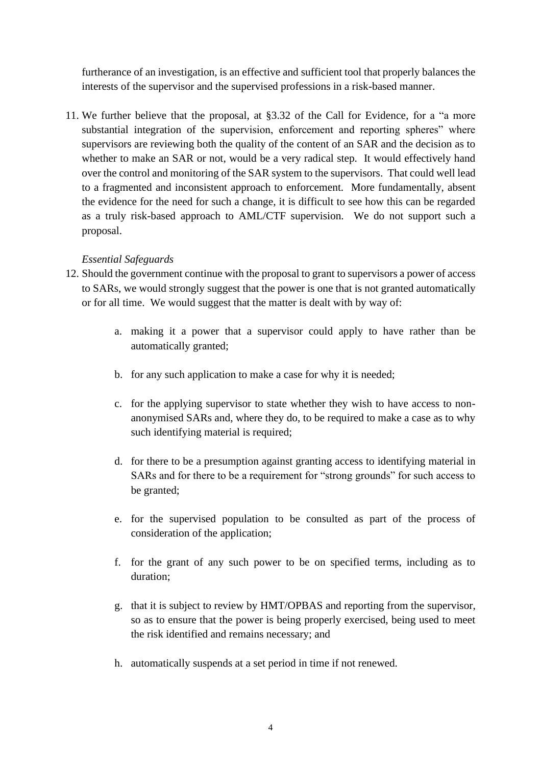furtherance of an investigation, is an effective and sufficient tool that properly balances the interests of the supervisor and the supervised professions in a risk-based manner.

11. We further believe that the proposal, at §3.32 of the Call for Evidence, for a "a more substantial integration of the supervision, enforcement and reporting spheres" where supervisors are reviewing both the quality of the content of an SAR and the decision as to whether to make an SAR or not, would be a very radical step. It would effectively hand over the control and monitoring of the SAR system to the supervisors. That could well lead to a fragmented and inconsistent approach to enforcement. More fundamentally, absent the evidence for the need for such a change, it is difficult to see how this can be regarded as a truly risk-based approach to AML/CTF supervision. We do not support such a proposal.

## *Essential Safeguards*

- 12. Should the government continue with the proposal to grant to supervisors a power of access to SARs, we would strongly suggest that the power is one that is not granted automatically or for all time. We would suggest that the matter is dealt with by way of:
	- a. making it a power that a supervisor could apply to have rather than be automatically granted;
	- b. for any such application to make a case for why it is needed;
	- c. for the applying supervisor to state whether they wish to have access to nonanonymised SARs and, where they do, to be required to make a case as to why such identifying material is required;
	- d. for there to be a presumption against granting access to identifying material in SARs and for there to be a requirement for "strong grounds" for such access to be granted;
	- e. for the supervised population to be consulted as part of the process of consideration of the application;
	- f. for the grant of any such power to be on specified terms, including as to duration;
	- g. that it is subject to review by HMT/OPBAS and reporting from the supervisor, so as to ensure that the power is being properly exercised, being used to meet the risk identified and remains necessary; and
	- h. automatically suspends at a set period in time if not renewed.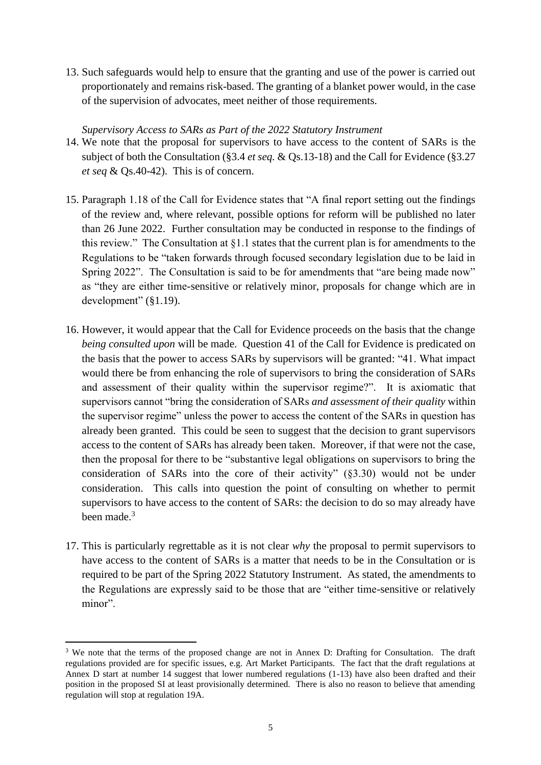13. Such safeguards would help to ensure that the granting and use of the power is carried out proportionately and remains risk-based. The granting of a blanket power would, in the case of the supervision of advocates, meet neither of those requirements.

#### *Supervisory Access to SARs as Part of the 2022 Statutory Instrument*

- 14. We note that the proposal for supervisors to have access to the content of SARs is the subject of both the Consultation (§3.4 *et seq.* & Qs.13-18) and the Call for Evidence (§3.27 *et seq* & Qs.40-42). This is of concern.
- 15. Paragraph 1.18 of the Call for Evidence states that "A final report setting out the findings of the review and, where relevant, possible options for reform will be published no later than 26 June 2022. Further consultation may be conducted in response to the findings of this review." The Consultation at §1.1 states that the current plan is for amendments to the Regulations to be "taken forwards through focused secondary legislation due to be laid in Spring 2022". The Consultation is said to be for amendments that "are being made now" as "they are either time-sensitive or relatively minor, proposals for change which are in development" (§1.19).
- 16. However, it would appear that the Call for Evidence proceeds on the basis that the change *being consulted upon* will be made. Question 41 of the Call for Evidence is predicated on the basis that the power to access SARs by supervisors will be granted: "41. What impact would there be from enhancing the role of supervisors to bring the consideration of SARs and assessment of their quality within the supervisor regime?". It is axiomatic that supervisors cannot "bring the consideration of SARs *and assessment of their quality* within the supervisor regime" unless the power to access the content of the SARs in question has already been granted. This could be seen to suggest that the decision to grant supervisors access to the content of SARs has already been taken. Moreover, if that were not the case, then the proposal for there to be "substantive legal obligations on supervisors to bring the consideration of SARs into the core of their activity" (§3.30) would not be under consideration. This calls into question the point of consulting on whether to permit supervisors to have access to the content of SARs: the decision to do so may already have been made. $3$
- 17. This is particularly regrettable as it is not clear *why* the proposal to permit supervisors to have access to the content of SARs is a matter that needs to be in the Consultation or is required to be part of the Spring 2022 Statutory Instrument. As stated, the amendments to the Regulations are expressly said to be those that are "either time-sensitive or relatively minor".

<sup>&</sup>lt;sup>3</sup> We note that the terms of the proposed change are not in Annex D: Drafting for Consultation. The draft regulations provided are for specific issues, e.g. Art Market Participants. The fact that the draft regulations at Annex D start at number 14 suggest that lower numbered regulations (1-13) have also been drafted and their position in the proposed SI at least provisionally determined. There is also no reason to believe that amending regulation will stop at regulation 19A.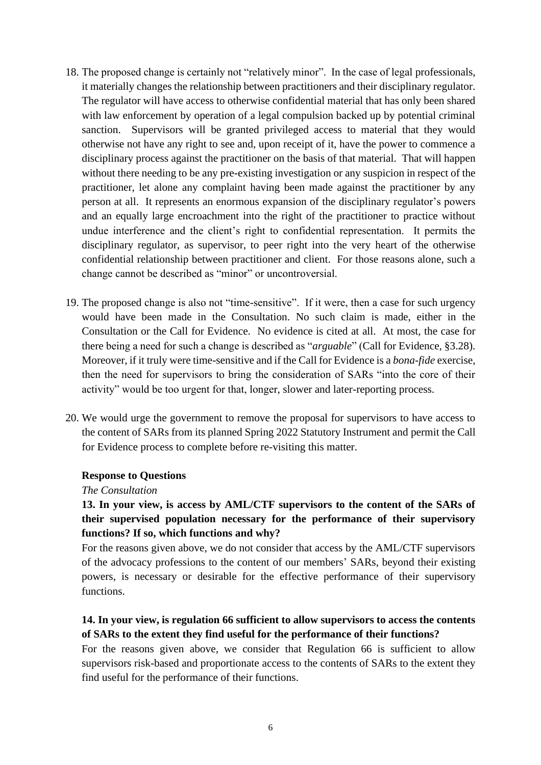- 18. The proposed change is certainly not "relatively minor". In the case of legal professionals, it materially changes the relationship between practitioners and their disciplinary regulator. The regulator will have access to otherwise confidential material that has only been shared with law enforcement by operation of a legal compulsion backed up by potential criminal sanction. Supervisors will be granted privileged access to material that they would otherwise not have any right to see and, upon receipt of it, have the power to commence a disciplinary process against the practitioner on the basis of that material. That will happen without there needing to be any pre-existing investigation or any suspicion in respect of the practitioner, let alone any complaint having been made against the practitioner by any person at all. It represents an enormous expansion of the disciplinary regulator's powers and an equally large encroachment into the right of the practitioner to practice without undue interference and the client's right to confidential representation. It permits the disciplinary regulator, as supervisor, to peer right into the very heart of the otherwise confidential relationship between practitioner and client. For those reasons alone, such a change cannot be described as "minor" or uncontroversial.
- 19. The proposed change is also not "time-sensitive". If it were, then a case for such urgency would have been made in the Consultation. No such claim is made, either in the Consultation or the Call for Evidence. No evidence is cited at all. At most, the case for there being a need for such a change is described as "*arguable*" (Call for Evidence, §3.28). Moreover, if it truly were time-sensitive and if the Call for Evidence is a *bona-fide* exercise, then the need for supervisors to bring the consideration of SARs "into the core of their activity" would be too urgent for that, longer, slower and later-reporting process.
- 20. We would urge the government to remove the proposal for supervisors to have access to the content of SARs from its planned Spring 2022 Statutory Instrument and permit the Call for Evidence process to complete before re-visiting this matter.

#### **Response to Questions**

*The Consultation*

## **13. In your view, is access by AML/CTF supervisors to the content of the SARs of their supervised population necessary for the performance of their supervisory functions? If so, which functions and why?**

For the reasons given above, we do not consider that access by the AML/CTF supervisors of the advocacy professions to the content of our members' SARs, beyond their existing powers, is necessary or desirable for the effective performance of their supervisory functions.

## **14. In your view, is regulation 66 sufficient to allow supervisors to access the contents of SARs to the extent they find useful for the performance of their functions?**

For the reasons given above, we consider that Regulation 66 is sufficient to allow supervisors risk-based and proportionate access to the contents of SARs to the extent they find useful for the performance of their functions.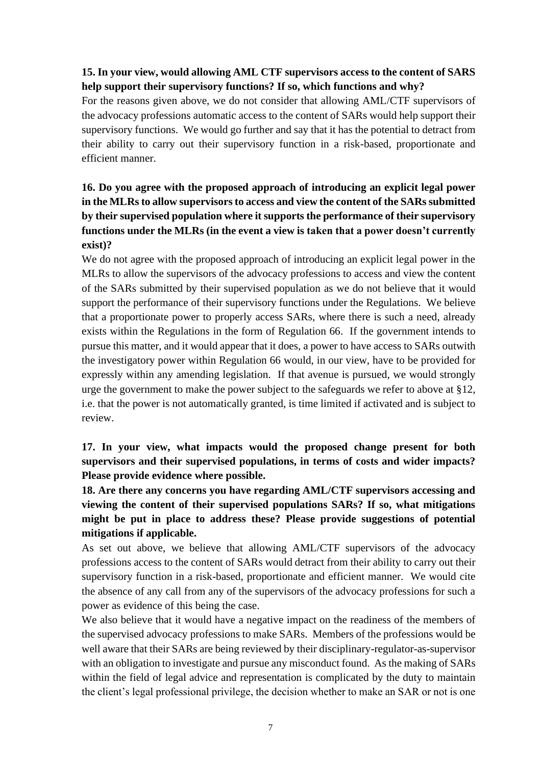## **15. In your view, would allowing AML CTF supervisors access to the content of SARS help support their supervisory functions? If so, which functions and why?**

For the reasons given above, we do not consider that allowing AML/CTF supervisors of the advocacy professions automatic access to the content of SARs would help support their supervisory functions. We would go further and say that it has the potential to detract from their ability to carry out their supervisory function in a risk-based, proportionate and efficient manner.

# **16. Do you agree with the proposed approach of introducing an explicit legal power in the MLRs to allow supervisors to access and view the content of the SARs submitted by their supervised population where it supports the performance of their supervisory functions under the MLRs (in the event a view is taken that a power doesn't currently exist)?**

We do not agree with the proposed approach of introducing an explicit legal power in the MLRs to allow the supervisors of the advocacy professions to access and view the content of the SARs submitted by their supervised population as we do not believe that it would support the performance of their supervisory functions under the Regulations. We believe that a proportionate power to properly access SARs, where there is such a need, already exists within the Regulations in the form of Regulation 66. If the government intends to pursue this matter, and it would appear that it does, a power to have access to SARs outwith the investigatory power within Regulation 66 would, in our view, have to be provided for expressly within any amending legislation. If that avenue is pursued, we would strongly urge the government to make the power subject to the safeguards we refer to above at §12, i.e. that the power is not automatically granted, is time limited if activated and is subject to review.

# **17. In your view, what impacts would the proposed change present for both supervisors and their supervised populations, in terms of costs and wider impacts? Please provide evidence where possible.**

**18. Are there any concerns you have regarding AML/CTF supervisors accessing and viewing the content of their supervised populations SARs? If so, what mitigations might be put in place to address these? Please provide suggestions of potential mitigations if applicable.**

As set out above, we believe that allowing AML/CTF supervisors of the advocacy professions access to the content of SARs would detract from their ability to carry out their supervisory function in a risk-based, proportionate and efficient manner. We would cite the absence of any call from any of the supervisors of the advocacy professions for such a power as evidence of this being the case.

We also believe that it would have a negative impact on the readiness of the members of the supervised advocacy professions to make SARs. Members of the professions would be well aware that their SARs are being reviewed by their disciplinary-regulator-as-supervisor with an obligation to investigate and pursue any misconduct found. As the making of SARs within the field of legal advice and representation is complicated by the duty to maintain the client's legal professional privilege, the decision whether to make an SAR or not is one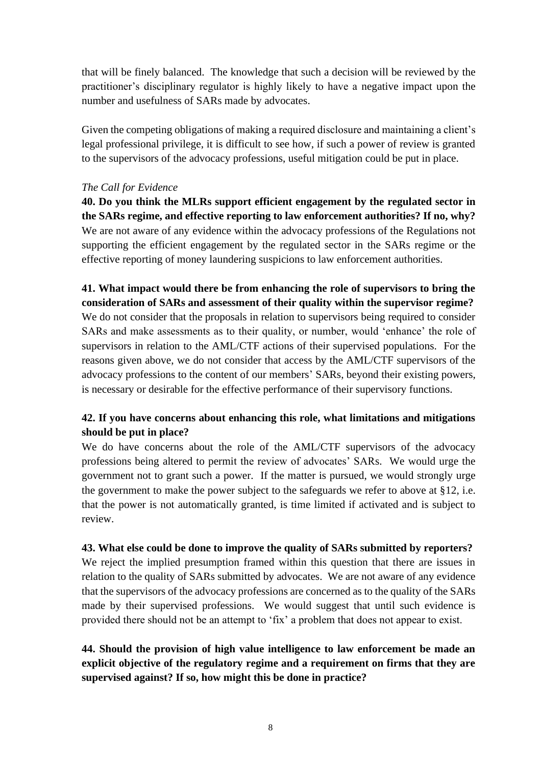that will be finely balanced. The knowledge that such a decision will be reviewed by the practitioner's disciplinary regulator is highly likely to have a negative impact upon the number and usefulness of SARs made by advocates.

Given the competing obligations of making a required disclosure and maintaining a client's legal professional privilege, it is difficult to see how, if such a power of review is granted to the supervisors of the advocacy professions, useful mitigation could be put in place.

## *The Call for Evidence*

**40. Do you think the MLRs support efficient engagement by the regulated sector in the SARs regime, and effective reporting to law enforcement authorities? If no, why?** We are not aware of any evidence within the advocacy professions of the Regulations not supporting the efficient engagement by the regulated sector in the SARs regime or the effective reporting of money laundering suspicions to law enforcement authorities.

# **41. What impact would there be from enhancing the role of supervisors to bring the consideration of SARs and assessment of their quality within the supervisor regime?**

We do not consider that the proposals in relation to supervisors being required to consider SARs and make assessments as to their quality, or number, would 'enhance' the role of supervisors in relation to the AML/CTF actions of their supervised populations. For the reasons given above, we do not consider that access by the AML/CTF supervisors of the advocacy professions to the content of our members' SARs, beyond their existing powers, is necessary or desirable for the effective performance of their supervisory functions.

## **42. If you have concerns about enhancing this role, what limitations and mitigations should be put in place?**

We do have concerns about the role of the AML/CTF supervisors of the advocacy professions being altered to permit the review of advocates' SARs. We would urge the government not to grant such a power. If the matter is pursued, we would strongly urge the government to make the power subject to the safeguards we refer to above at §12, i.e. that the power is not automatically granted, is time limited if activated and is subject to review.

## **43. What else could be done to improve the quality of SARs submitted by reporters?**

We reject the implied presumption framed within this question that there are issues in relation to the quality of SARs submitted by advocates. We are not aware of any evidence that the supervisors of the advocacy professions are concerned as to the quality of the SARs made by their supervised professions. We would suggest that until such evidence is provided there should not be an attempt to 'fix' a problem that does not appear to exist.

# **44. Should the provision of high value intelligence to law enforcement be made an explicit objective of the regulatory regime and a requirement on firms that they are supervised against? If so, how might this be done in practice?**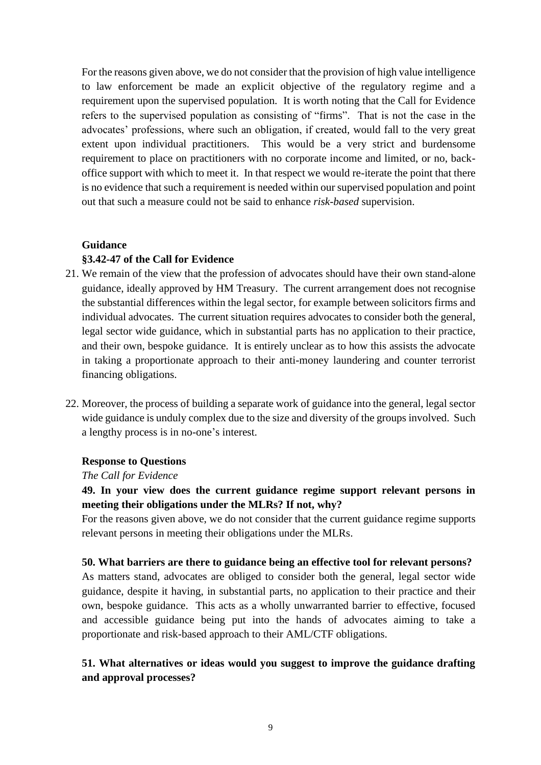For the reasons given above, we do not consider that the provision of high value intelligence to law enforcement be made an explicit objective of the regulatory regime and a requirement upon the supervised population. It is worth noting that the Call for Evidence refers to the supervised population as consisting of "firms". That is not the case in the advocates' professions, where such an obligation, if created, would fall to the very great extent upon individual practitioners. This would be a very strict and burdensome requirement to place on practitioners with no corporate income and limited, or no, backoffice support with which to meet it. In that respect we would re-iterate the point that there is no evidence that such a requirement is needed within our supervised population and point out that such a measure could not be said to enhance *risk-based* supervision.

# **Guidance §3.42-47 of the Call for Evidence**

- 21. We remain of the view that the profession of advocates should have their own stand-alone guidance, ideally approved by HM Treasury. The current arrangement does not recognise the substantial differences within the legal sector, for example between solicitors firms and individual advocates. The current situation requires advocates to consider both the general, legal sector wide guidance, which in substantial parts has no application to their practice, and their own, bespoke guidance. It is entirely unclear as to how this assists the advocate in taking a proportionate approach to their anti-money laundering and counter terrorist financing obligations.
- 22. Moreover, the process of building a separate work of guidance into the general, legal sector wide guidance is unduly complex due to the size and diversity of the groups involved. Such a lengthy process is in no-one's interest.

#### **Response to Questions**

#### *The Call for Evidence*

## **49. In your view does the current guidance regime support relevant persons in meeting their obligations under the MLRs? If not, why?**

For the reasons given above, we do not consider that the current guidance regime supports relevant persons in meeting their obligations under the MLRs.

#### **50. What barriers are there to guidance being an effective tool for relevant persons?**

As matters stand, advocates are obliged to consider both the general, legal sector wide guidance, despite it having, in substantial parts, no application to their practice and their own, bespoke guidance. This acts as a wholly unwarranted barrier to effective, focused and accessible guidance being put into the hands of advocates aiming to take a proportionate and risk-based approach to their AML/CTF obligations.

## **51. What alternatives or ideas would you suggest to improve the guidance drafting and approval processes?**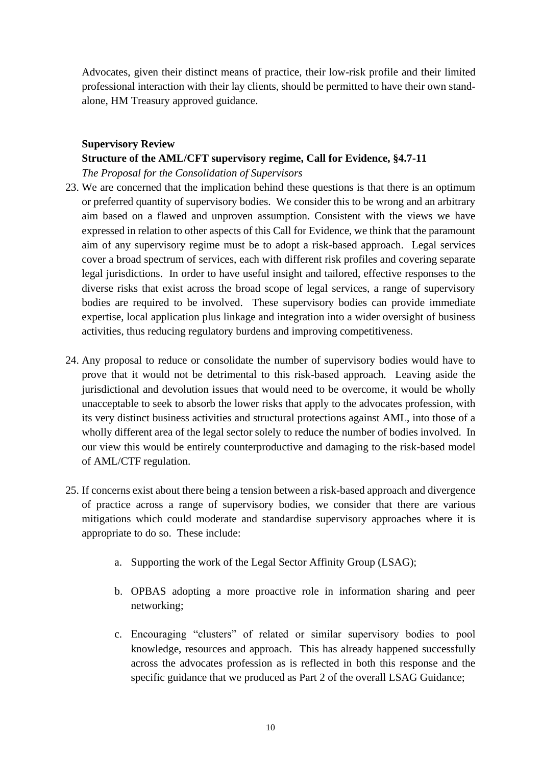Advocates, given their distinct means of practice, their low-risk profile and their limited professional interaction with their lay clients, should be permitted to have their own standalone, HM Treasury approved guidance.

# **Supervisory Review Structure of the AML/CFT supervisory regime, Call for Evidence, §4.7-11**

## *The Proposal for the Consolidation of Supervisors*

- 23. We are concerned that the implication behind these questions is that there is an optimum or preferred quantity of supervisory bodies. We consider this to be wrong and an arbitrary aim based on a flawed and unproven assumption. Consistent with the views we have expressed in relation to other aspects of this Call for Evidence, we think that the paramount aim of any supervisory regime must be to adopt a risk-based approach. Legal services cover a broad spectrum of services, each with different risk profiles and covering separate legal jurisdictions. In order to have useful insight and tailored, effective responses to the diverse risks that exist across the broad scope of legal services, a range of supervisory bodies are required to be involved. These supervisory bodies can provide immediate expertise, local application plus linkage and integration into a wider oversight of business activities, thus reducing regulatory burdens and improving competitiveness.
- 24. Any proposal to reduce or consolidate the number of supervisory bodies would have to prove that it would not be detrimental to this risk-based approach. Leaving aside the jurisdictional and devolution issues that would need to be overcome, it would be wholly unacceptable to seek to absorb the lower risks that apply to the advocates profession, with its very distinct business activities and structural protections against AML, into those of a wholly different area of the legal sector solely to reduce the number of bodies involved. In our view this would be entirely counterproductive and damaging to the risk-based model of AML/CTF regulation.
- 25. If concerns exist about there being a tension between a risk-based approach and divergence of practice across a range of supervisory bodies, we consider that there are various mitigations which could moderate and standardise supervisory approaches where it is appropriate to do so. These include:
	- a. Supporting the work of the Legal Sector Affinity Group (LSAG);
	- b. OPBAS adopting a more proactive role in information sharing and peer networking;
	- c. Encouraging "clusters" of related or similar supervisory bodies to pool knowledge, resources and approach. This has already happened successfully across the advocates profession as is reflected in both this response and the specific guidance that we produced as Part 2 of the overall LSAG Guidance;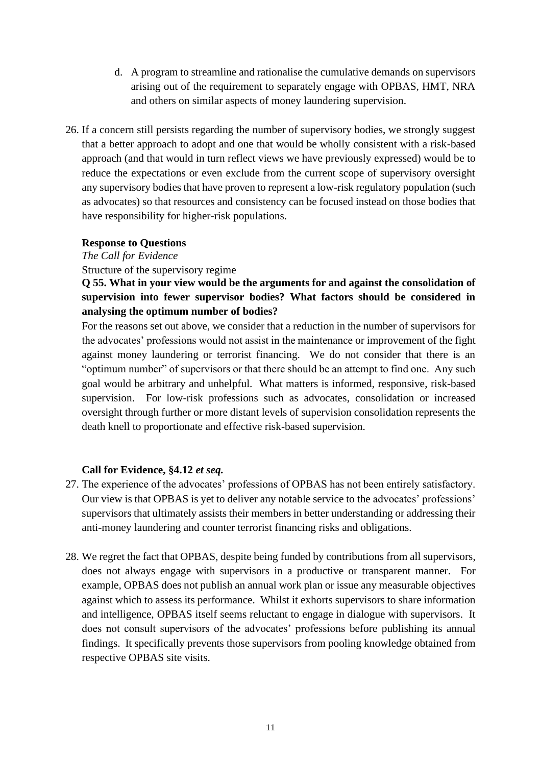- d. A program to streamline and rationalise the cumulative demands on supervisors arising out of the requirement to separately engage with OPBAS, HMT, NRA and others on similar aspects of money laundering supervision.
- 26. If a concern still persists regarding the number of supervisory bodies, we strongly suggest that a better approach to adopt and one that would be wholly consistent with a risk-based approach (and that would in turn reflect views we have previously expressed) would be to reduce the expectations or even exclude from the current scope of supervisory oversight any supervisory bodies that have proven to represent a low-risk regulatory population (such as advocates) so that resources and consistency can be focused instead on those bodies that have responsibility for higher-risk populations.

#### **Response to Questions**

*The Call for Evidence*

Structure of the supervisory regime

**Q 55. What in your view would be the arguments for and against the consolidation of supervision into fewer supervisor bodies? What factors should be considered in analysing the optimum number of bodies?**

For the reasons set out above, we consider that a reduction in the number of supervisors for the advocates' professions would not assist in the maintenance or improvement of the fight against money laundering or terrorist financing. We do not consider that there is an "optimum number" of supervisors or that there should be an attempt to find one. Any such goal would be arbitrary and unhelpful. What matters is informed, responsive, risk-based supervision. For low-risk professions such as advocates, consolidation or increased oversight through further or more distant levels of supervision consolidation represents the death knell to proportionate and effective risk-based supervision.

## **Call for Evidence, §4.12** *et seq.*

- 27. The experience of the advocates' professions of OPBAS has not been entirely satisfactory. Our view is that OPBAS is yet to deliver any notable service to the advocates' professions' supervisors that ultimately assists their members in better understanding or addressing their anti-money laundering and counter terrorist financing risks and obligations.
- 28. We regret the fact that OPBAS, despite being funded by contributions from all supervisors, does not always engage with supervisors in a productive or transparent manner. For example, OPBAS does not publish an annual work plan or issue any measurable objectives against which to assess its performance. Whilst it exhorts supervisors to share information and intelligence, OPBAS itself seems reluctant to engage in dialogue with supervisors. It does not consult supervisors of the advocates' professions before publishing its annual findings. It specifically prevents those supervisors from pooling knowledge obtained from respective OPBAS site visits.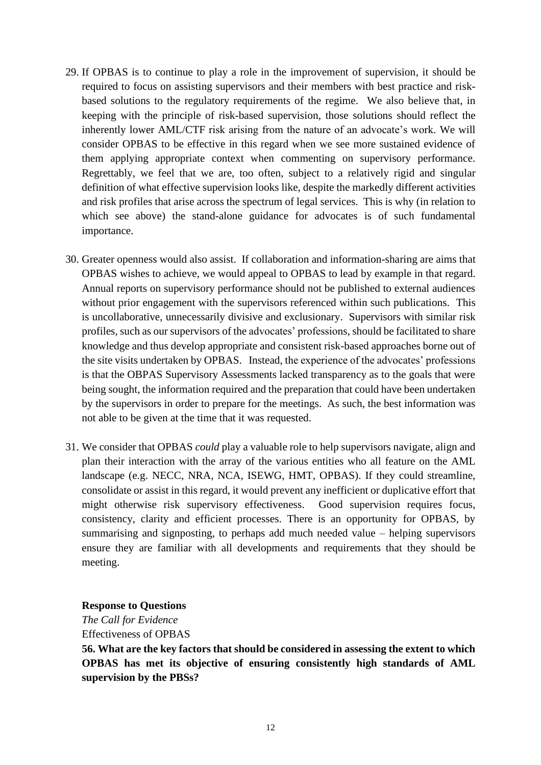- 29. If OPBAS is to continue to play a role in the improvement of supervision, it should be required to focus on assisting supervisors and their members with best practice and riskbased solutions to the regulatory requirements of the regime. We also believe that, in keeping with the principle of risk-based supervision, those solutions should reflect the inherently lower AML/CTF risk arising from the nature of an advocate's work. We will consider OPBAS to be effective in this regard when we see more sustained evidence of them applying appropriate context when commenting on supervisory performance. Regrettably, we feel that we are, too often, subject to a relatively rigid and singular definition of what effective supervision looks like, despite the markedly different activities and risk profiles that arise across the spectrum of legal services. This is why (in relation to which see above) the stand-alone guidance for advocates is of such fundamental importance.
- 30. Greater openness would also assist. If collaboration and information-sharing are aims that OPBAS wishes to achieve, we would appeal to OPBAS to lead by example in that regard. Annual reports on supervisory performance should not be published to external audiences without prior engagement with the supervisors referenced within such publications. This is uncollaborative, unnecessarily divisive and exclusionary. Supervisors with similar risk profiles, such as our supervisors of the advocates' professions, should be facilitated to share knowledge and thus develop appropriate and consistent risk-based approaches borne out of the site visits undertaken by OPBAS. Instead, the experience of the advocates' professions is that the OBPAS Supervisory Assessments lacked transparency as to the goals that were being sought, the information required and the preparation that could have been undertaken by the supervisors in order to prepare for the meetings. As such, the best information was not able to be given at the time that it was requested.
- 31. We consider that OPBAS *could* play a valuable role to help supervisors navigate, align and plan their interaction with the array of the various entities who all feature on the AML landscape (e.g. NECC, NRA, NCA, ISEWG, HMT, OPBAS). If they could streamline, consolidate or assist in this regard, it would prevent any inefficient or duplicative effort that might otherwise risk supervisory effectiveness. Good supervision requires focus, consistency, clarity and efficient processes. There is an opportunity for OPBAS, by summarising and signposting, to perhaps add much needed value – helping supervisors ensure they are familiar with all developments and requirements that they should be meeting.

**Response to Questions**

*The Call for Evidence* Effectiveness of OPBAS

**56. What are the key factors that should be considered in assessing the extent to which OPBAS has met its objective of ensuring consistently high standards of AML supervision by the PBSs?**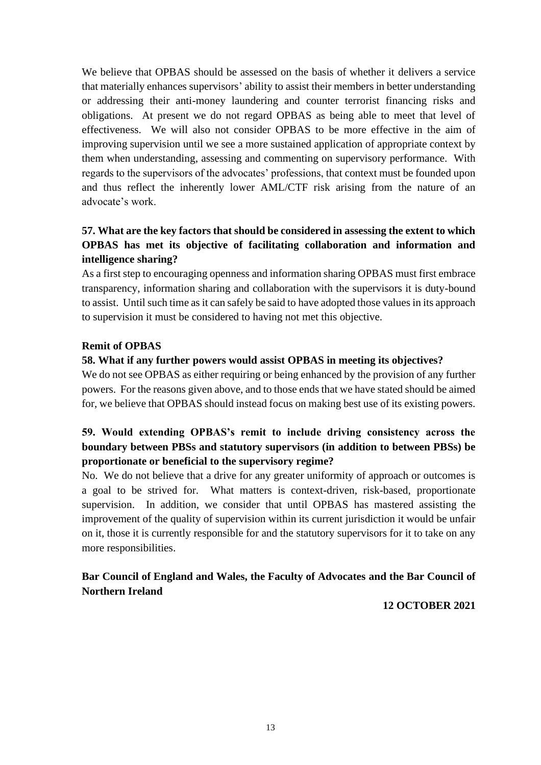We believe that OPBAS should be assessed on the basis of whether it delivers a service that materially enhances supervisors' ability to assist their members in better understanding or addressing their anti-money laundering and counter terrorist financing risks and obligations. At present we do not regard OPBAS as being able to meet that level of effectiveness. We will also not consider OPBAS to be more effective in the aim of improving supervision until we see a more sustained application of appropriate context by them when understanding, assessing and commenting on supervisory performance. With regards to the supervisors of the advocates' professions, that context must be founded upon and thus reflect the inherently lower AML/CTF risk arising from the nature of an advocate's work.

## **57. What are the key factors that should be considered in assessing the extent to which OPBAS has met its objective of facilitating collaboration and information and intelligence sharing?**

As a first step to encouraging openness and information sharing OPBAS must first embrace transparency, information sharing and collaboration with the supervisors it is duty-bound to assist. Until such time as it can safely be said to have adopted those values in its approach to supervision it must be considered to having not met this objective.

## **Remit of OPBAS**

## **58. What if any further powers would assist OPBAS in meeting its objectives?**

We do not see OPBAS as either requiring or being enhanced by the provision of any further powers. For the reasons given above, and to those ends that we have stated should be aimed for, we believe that OPBAS should instead focus on making best use of its existing powers.

# **59. Would extending OPBAS's remit to include driving consistency across the boundary between PBSs and statutory supervisors (in addition to between PBSs) be proportionate or beneficial to the supervisory regime?**

No. We do not believe that a drive for any greater uniformity of approach or outcomes is a goal to be strived for. What matters is context-driven, risk-based, proportionate supervision. In addition, we consider that until OPBAS has mastered assisting the improvement of the quality of supervision within its current jurisdiction it would be unfair on it, those it is currently responsible for and the statutory supervisors for it to take on any more responsibilities.

## **Bar Council of England and Wales, the Faculty of Advocates and the Bar Council of Northern Ireland**

## **12 OCTOBER 2021**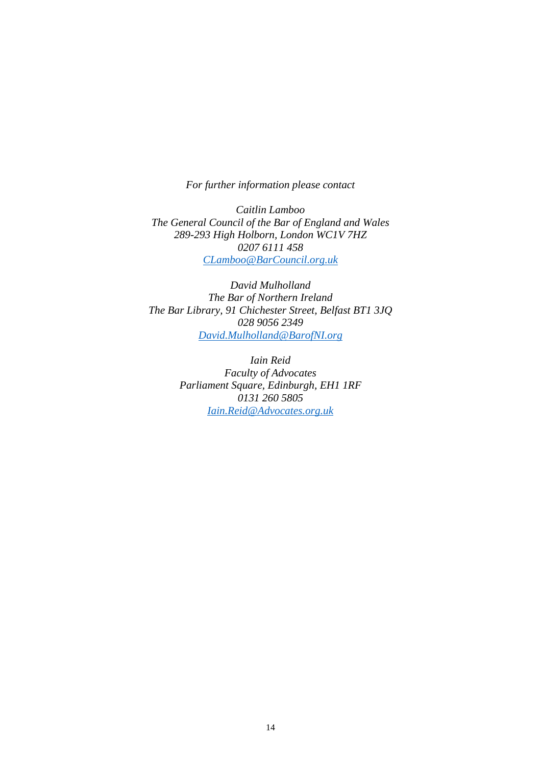*For further information please contact*

*Caitlin Lamboo The General Council of the Bar of England and Wales 289-293 High Holborn, London WC1V 7HZ 0207 6111 458 [CLamboo@BarCouncil.org.uk](mailto:CLamboo@BarCouncil.org.uk)*

*David Mulholland The Bar of Northern Ireland The Bar Library, 91 Chichester Street, Belfast BT1 3JQ 028 9056 2349 [David.Mulholland@BarofNI.org](mailto:David.Mulholland@BarofNI.org)*

> *Iain Reid Faculty of Advocates Parliament Square, Edinburgh, EH1 1RF 0131 260 5805 [Iain.Reid@Advocates.org.uk](mailto:Iain.Reid@Advocates.org.uk)*